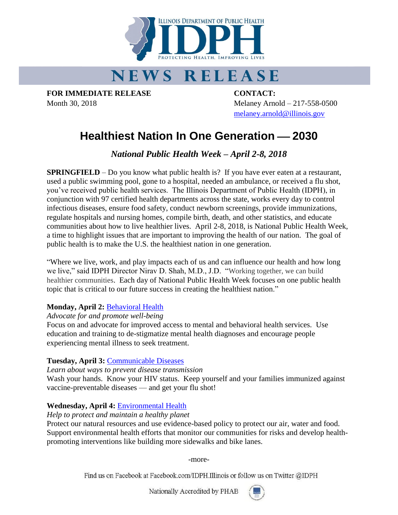

# **NEWS RELEASE**

**FOR IMMEDIATE RELEASE CONTACT:**

Month 30, 2018 Melaney Arnold – 217-558-0500 [melaney.arnold@illinois.gov](mailto:melaney.arnold@illinois.gov)

# **Healthiest Nation In One Generation – 2030**

*National Public Health Week – April 2-8, 2018*

**SPRINGFIELD** – Do you know what public health is? If you have ever eaten at a restaurant, used a public swimming pool, gone to a hospital, needed an ambulance, or received a flu shot, you've received public health services. The Illinois Department of Public Health (IDPH), in conjunction with 97 certified health departments across the state, works every day to control infectious diseases, ensure food safety, conduct newborn screenings, provide immunizations, regulate hospitals and nursing homes, compile birth, death, and other statistics, and educate communities about how to live healthier lives. April 2-8, 2018, is National Public Health Week, a time to highlight issues that are important to improving the health of our nation. The goal of public health is to make the U.S. the healthiest nation in one generation.

"Where we live, work, and play impacts each of us and can influence our health and how long we live," said IDPH Director Nirav D. Shah, M.D., J.D. "Working together, we can build healthier communities. Each day of National Public Health Week focuses on one public health topic that is critical to our future success in creating the healthiest nation."

# **Monday, April 2:** [Behavioral Health](http://www.nphw.org/nphw-2018/behavioral-health)

*Advocate for and promote well-being*

Focus on and advocate for improved access to mental and behavioral health services. Use education and training to de-stigmatize mental health diagnoses and encourage people experiencing mental illness to seek treatment.

# **Tuesday, April 3:** [Communicable Diseases](http://www.nphw.org/nphw-2018/communicable-diseases)

*Learn about ways to prevent disease transmission*

Wash your hands. Know your HIV status. Keep yourself and your families immunized against vaccine-preventable diseases — and get your flu shot!

# **Wednesday, April 4:** [Environmental Health](http://www.nphw.org/nphw-2018/environmental-health)

#### *Help to protect and maintain a healthy planet*

Protect our natural resources and use evidence-based policy to protect our air, water and food. Support environmental health efforts that monitor our communities for risks and develop healthpromoting interventions like building more sidewalks and bike lanes.

-more-

Find us on Facebook at Facebook.com/IDPH.Illinois or follow us on Twitter @IDPH

Nationally Accredited by PHAB